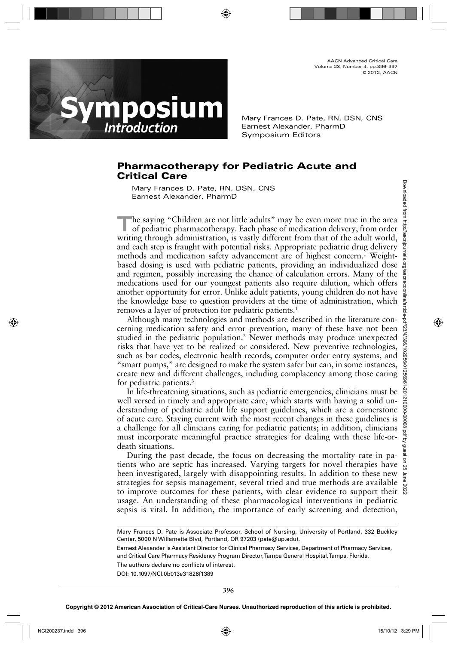AACN Advanced Critical Care Volume 23, Number 4, pp.396–397 © 2012, AACN



Mary Frances D. Pate, RN, DSN, CNS Earnest Alexander, PharmD Symposium Editors

## **Pharmacotherapy for Pediatric Acute and Critical Care**

Mary Frances D. Pate, RN, DSN, CNS Earnest Alexander, PharmD

The saying "Children are not little adults" may be even more true in the area of pediatric pharmacotherapy. Each phase of medication delivery, from order writing through administration, is vastly different from that of the adult world, and each step is fraught with potential risks. Appropriate pediatric drug delivery methods and medication safety advancement are of highest concern.1 Weightbased dosing is used with pediatric patients, providing an individualized dose and regimen, possibly increasing the chance of calculation errors. Many of the medications used for our youngest patients also require dilution, which offers another opportunity for error. Unlike adult patients, young children do not have the knowledge base to question providers at the time of administration, which removes a layer of protection for pediatric patients.1 Mery French 20. PM 5/10/12 2013 CM 2022 2013 CM states the method from the states of the states of the state of the state of the state of the state of the state of the state of the state of the state of the state of the st

Although many technologies and methods are described in the literature concerning medication safety and error prevention, many of these have not been studied in the pediatric population.2 Newer methods may produce unexpected risks that have yet to be realized or considered. New preventive technologies, such as bar codes, electronic health records, computer order entry systems, and "smart pumps," are designed to make the system safer but can, in some instances, create new and different challenges, including complacency among those caring for pediatric patients.<sup>3</sup>

In life-threatening situations, such as pediatric emergencies, clinicians must be well versed in timely and appropriate care, which starts with having a solid understanding of pediatric adult life support guidelines, which are a cornerstone of acute care. Staying current with the most recent changes in these guidelines is a challenge for all clinicians caring for pediatric patients; in addition, clinicians must incorporate meaningful practice strategies for dealing with these life-ordeath situations.

During the past decade, the focus on decreasing the mortality rate in patients who are septic has increased. Varying targets for novel therapies have been investigated, largely with disappointing results. In addition to these new strategies for sepsis management, several tried and true methods are available to improve outcomes for these patients, with clear evidence to support their  $\frac{8}{9}$ usage. An understanding of these pharmacological interventions in pediatric sepsis is vital. In addition, the importance of early screening and detection,

Earnest Alexander is Assistant Director for Clinical Pharmacy Services, Department of Pharmacy Services, and Critical Care Pharmacy Residency Program Director, Tampa General Hospital, Tampa, Florida.

The authors declare no conflicts of interest. DOI: 10.1097/NCI.0b013e31826f1389

**396**

Mary Frances D. Pate is Associate Professor, School of Nursing, University of Portland, 332 Buckley Center, 5000 N Willamette Blvd, Portland, OR 97203 (pate@up.edu).